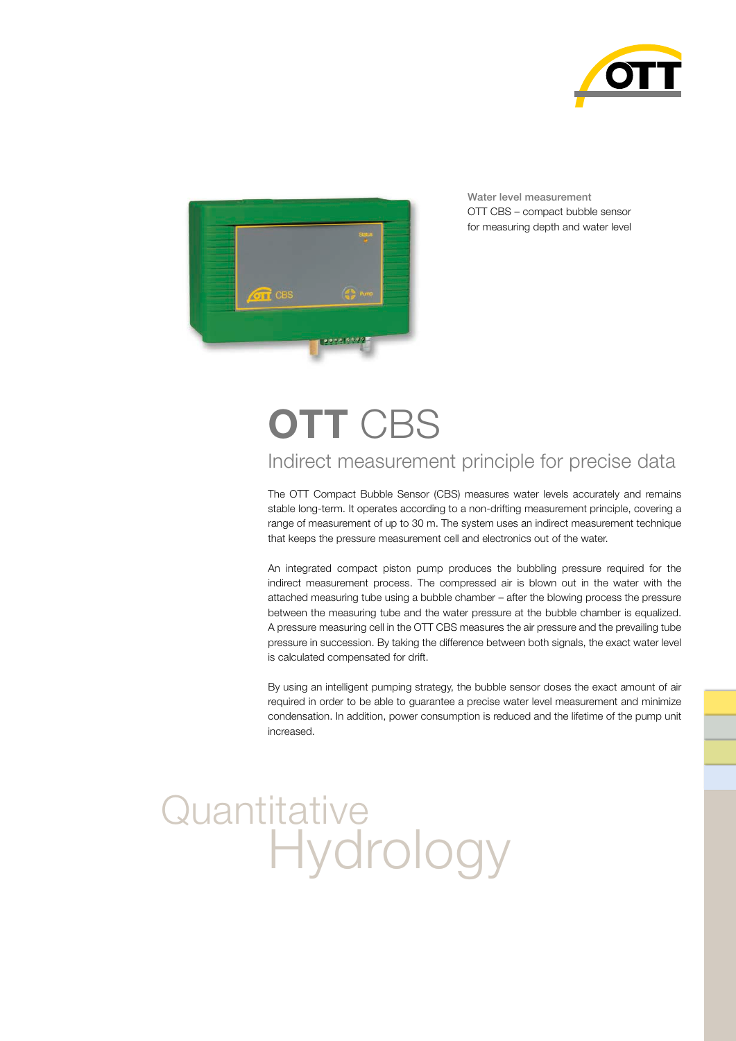



Water level measurement OTT CBS – compact bubble sensor for measuring depth and water level

# **OTT** CBS

### Indirect measurement principle for precise data

The OTT Compact Bubble Sensor (CBS) measures water levels accurately and remains stable long-term. It operates according to a non-drifting measurement principle, covering a range of measurement of up to 30 m. The system uses an indirect measurement technique that keeps the pressure measurement cell and electronics out of the water.

An integrated compact piston pump produces the bubbling pressure required for the indirect measurement process. The compressed air is blown out in the water with the attached measuring tube using a bubble chamber – after the blowing process the pressure between the measuring tube and the water pressure at the bubble chamber is equalized. A pressure measuring cell in the OTT CBS measures the air pressure and the prevailing tube pressure in succession. By taking the difference between both signals, the exact water level is calculated compensated for drift.

By using an intelligent pumping strategy, the bubble sensor doses the exact amount of air required in order to be able to guarantee a precise water level measurement and minimize condensation. In addition, power consumption is reduced and the lifetime of the pump unit increased.

## **Quantitative Hydrology**